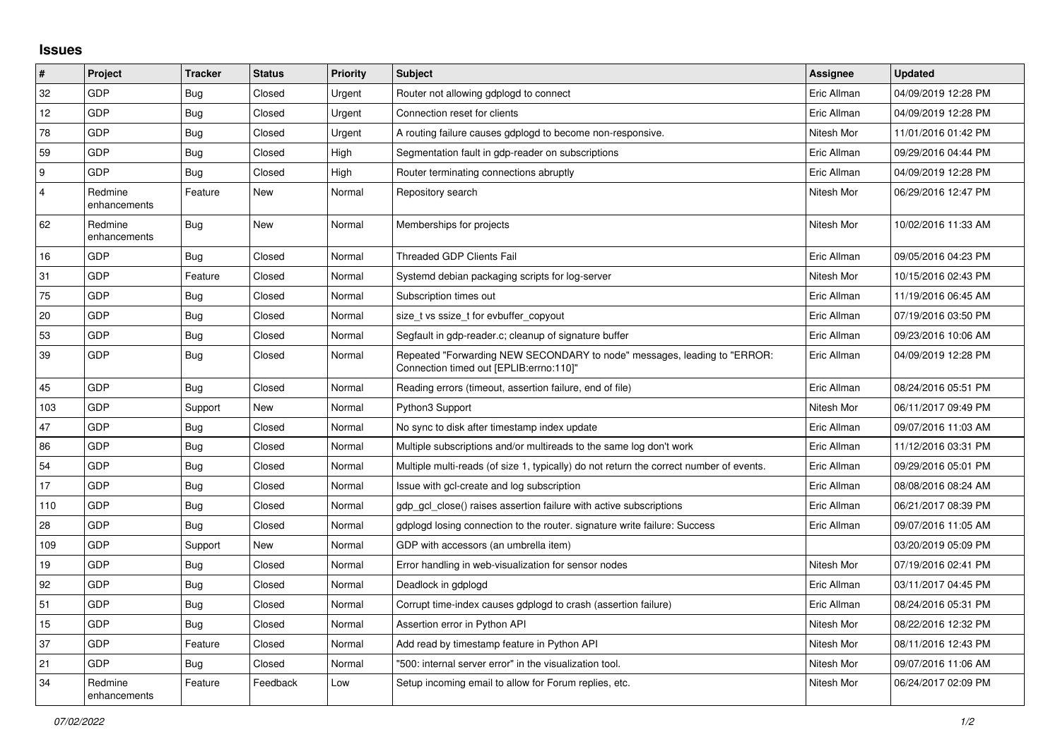## **Issues**

| #              | Project                 | <b>Tracker</b> | <b>Status</b> | Priority | <b>Subject</b>                                                                                                      | <b>Assignee</b> | <b>Updated</b>      |
|----------------|-------------------------|----------------|---------------|----------|---------------------------------------------------------------------------------------------------------------------|-----------------|---------------------|
| 32             | GDP                     | Bug            | Closed        | Urgent   | Router not allowing gdplogd to connect                                                                              | Eric Allman     | 04/09/2019 12:28 PM |
| 12             | <b>GDP</b>              | <b>Bug</b>     | Closed        | Urgent   | Connection reset for clients                                                                                        | Eric Allman     | 04/09/2019 12:28 PM |
| 78             | <b>GDP</b>              | Bug            | Closed        | Urgent   | A routing failure causes gdplogd to become non-responsive.                                                          | Nitesh Mor      | 11/01/2016 01:42 PM |
| 59             | <b>GDP</b>              | Bug            | Closed        | High     | Segmentation fault in gdp-reader on subscriptions                                                                   | Eric Allman     | 09/29/2016 04:44 PM |
| l 9            | <b>GDP</b>              | <b>Bug</b>     | Closed        | High     | Router terminating connections abruptly                                                                             | Eric Allman     | 04/09/2019 12:28 PM |
| $\overline{4}$ | Redmine<br>enhancements | Feature        | New           | Normal   | Repository search                                                                                                   | Nitesh Mor      | 06/29/2016 12:47 PM |
| 62             | Redmine<br>enhancements | <b>Bug</b>     | <b>New</b>    | Normal   | Memberships for projects                                                                                            | Nitesh Mor      | 10/02/2016 11:33 AM |
| 16             | <b>GDP</b>              | Bug            | Closed        | Normal   | <b>Threaded GDP Clients Fail</b>                                                                                    | Eric Allman     | 09/05/2016 04:23 PM |
| 31             | GDP                     | Feature        | Closed        | Normal   | Systemd debian packaging scripts for log-server                                                                     | Nitesh Mor      | 10/15/2016 02:43 PM |
| 75             | <b>GDP</b>              | <b>Bug</b>     | Closed        | Normal   | Subscription times out                                                                                              | Eric Allman     | 11/19/2016 06:45 AM |
| 20             | GDP                     | Bug            | Closed        | Normal   | size t vs ssize t for evbuffer copyout                                                                              | Eric Allman     | 07/19/2016 03:50 PM |
| 53             | <b>GDP</b>              | <b>Bug</b>     | Closed        | Normal   | Segfault in gdp-reader.c; cleanup of signature buffer                                                               | Eric Allman     | 09/23/2016 10:06 AM |
| 39             | <b>GDP</b>              | Bug            | Closed        | Normal   | Repeated "Forwarding NEW SECONDARY to node" messages, leading to "ERROR:<br>Connection timed out [EPLIB:errno:110]" | Eric Allman     | 04/09/2019 12:28 PM |
| 45             | <b>GDP</b>              | <b>Bug</b>     | Closed        | Normal   | Reading errors (timeout, assertion failure, end of file)                                                            | Eric Allman     | 08/24/2016 05:51 PM |
| 103            | <b>GDP</b>              | Support        | <b>New</b>    | Normal   | Python3 Support                                                                                                     | Nitesh Mor      | 06/11/2017 09:49 PM |
| 47             | GDP                     | <b>Bug</b>     | Closed        | Normal   | No sync to disk after timestamp index update                                                                        | Eric Allman     | 09/07/2016 11:03 AM |
| 86             | GDP                     | <b>Bug</b>     | Closed        | Normal   | Multiple subscriptions and/or multireads to the same log don't work                                                 | Eric Allman     | 11/12/2016 03:31 PM |
| 54             | <b>GDP</b>              | <b>Bug</b>     | Closed        | Normal   | Multiple multi-reads (of size 1, typically) do not return the correct number of events.                             | Eric Allman     | 09/29/2016 05:01 PM |
| 17             | <b>GDP</b>              | <b>Bug</b>     | Closed        | Normal   | Issue with gcl-create and log subscription                                                                          | Eric Allman     | 08/08/2016 08:24 AM |
| 110            | <b>GDP</b>              | <b>Bug</b>     | Closed        | Normal   | gdp gcl close() raises assertion failure with active subscriptions                                                  | Eric Allman     | 06/21/2017 08:39 PM |
| 28             | <b>GDP</b>              | <b>Bug</b>     | Closed        | Normal   | gdplogd losing connection to the router, signature write failure: Success                                           | Eric Allman     | 09/07/2016 11:05 AM |
| 109            | <b>GDP</b>              | Support        | New           | Normal   | GDP with accessors (an umbrella item)                                                                               |                 | 03/20/2019 05:09 PM |
| 19             | <b>GDP</b>              | Bug            | Closed        | Normal   | Error handling in web-visualization for sensor nodes                                                                | Nitesh Mor      | 07/19/2016 02:41 PM |
| 92             | GDP                     | Bug            | Closed        | Normal   | Deadlock in gdplogd                                                                                                 | Eric Allman     | 03/11/2017 04:45 PM |
| 51             | <b>GDP</b>              | <b>Bug</b>     | Closed        | Normal   | Corrupt time-index causes gdplogd to crash (assertion failure)                                                      | Eric Allman     | 08/24/2016 05:31 PM |
| 15             | <b>GDP</b>              | <b>Bug</b>     | Closed        | Normal   | Assertion error in Python API                                                                                       | Nitesh Mor      | 08/22/2016 12:32 PM |
| 37             | <b>GDP</b>              | Feature        | Closed        | Normal   | Add read by timestamp feature in Python API                                                                         | Nitesh Mor      | 08/11/2016 12:43 PM |
| 21             | <b>GDP</b>              | <b>Bug</b>     | Closed        | Normal   | "500: internal server error" in the visualization tool.                                                             | Nitesh Mor      | 09/07/2016 11:06 AM |
| 34             | Redmine<br>enhancements | Feature        | Feedback      | Low      | Setup incoming email to allow for Forum replies, etc.                                                               | Nitesh Mor      | 06/24/2017 02:09 PM |